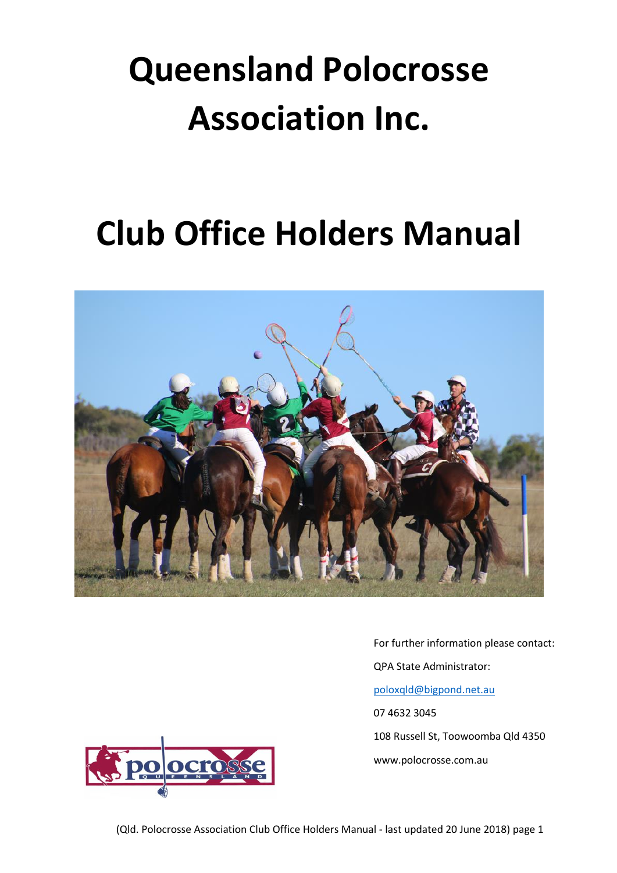# **Queensland Polocrosse Association Inc.**

# **Club Office Holders Manual**



QPA State Administrator: [poloxqld@bigpond.net.au](mailto:poloxqld@bigpond.net.au) 07 4632 3045 108 Russell St, Toowoomba Qld 4350 www.polocrosse.com.au

For further information please contact:

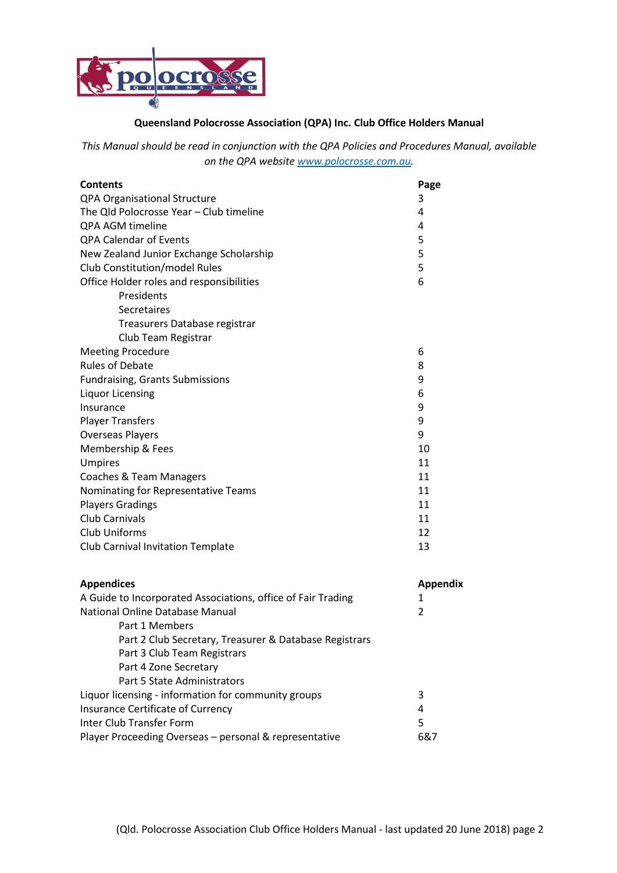

# **Queensland Polocrosse Association (QPA) Inc. Club Office Holders Manual**

*This Manual should be read in conjunction with the QPA Policies and Procedures Manual, available on the QPA website [www.polocrosse.com.au.](http://www.polocrosse.com.au/)*

| <b>Contents</b>                          | Page |
|------------------------------------------|------|
| QPA Organisational Structure             | 3    |
| The Qld Polocrosse Year - Club timeline  | 4    |
| QPA AGM timeline                         | 4    |
| <b>QPA Calendar of Events</b>            | 5    |
| New Zealand Junior Exchange Scholarship  | 5    |
| <b>Club Constitution/model Rules</b>     | 5    |
| Office Holder roles and responsibilities | 6    |
| Presidents                               |      |
| Secretaires                              |      |
| Treasurers Database registrar            |      |
| Club Team Registrar                      |      |
| <b>Meeting Procedure</b>                 | 6    |
| <b>Rules of Debate</b>                   | 8    |
| <b>Fundraising, Grants Submissions</b>   | 9    |
| <b>Liquor Licensing</b>                  | 6    |
| Insurance                                | 9    |
| <b>Player Transfers</b>                  | 9    |
| <b>Overseas Players</b>                  | 9    |
| Membership & Fees                        | 10   |
| Umpires                                  | 11   |
| Coaches & Team Managers                  | 11   |
| Nominating for Representative Teams      | 11   |
| <b>Players Gradings</b>                  | 11   |
| <b>Club Carnivals</b>                    | 11   |
| <b>Club Uniforms</b>                     | 12   |
| Club Carnival Invitation Template        | 13   |
|                                          |      |
|                                          |      |

| <b>Appendices</b>                                            | Appendix |
|--------------------------------------------------------------|----------|
| A Guide to Incorporated Associations, office of Fair Trading | 1        |
| National Online Database Manual                              | 2        |
| Part 1 Members                                               |          |
| Part 2 Club Secretary, Treasurer & Database Registrars       |          |
| Part 3 Club Team Registrars                                  |          |
| Part 4 Zone Secretary                                        |          |
| Part 5 State Administrators                                  |          |
| Liquor licensing - information for community groups          | 3        |
| Insurance Certificate of Currency                            | 4        |
| Inter Club Transfer Form                                     | 5        |
| Player Proceeding Overseas – personal & representative       | 6&7      |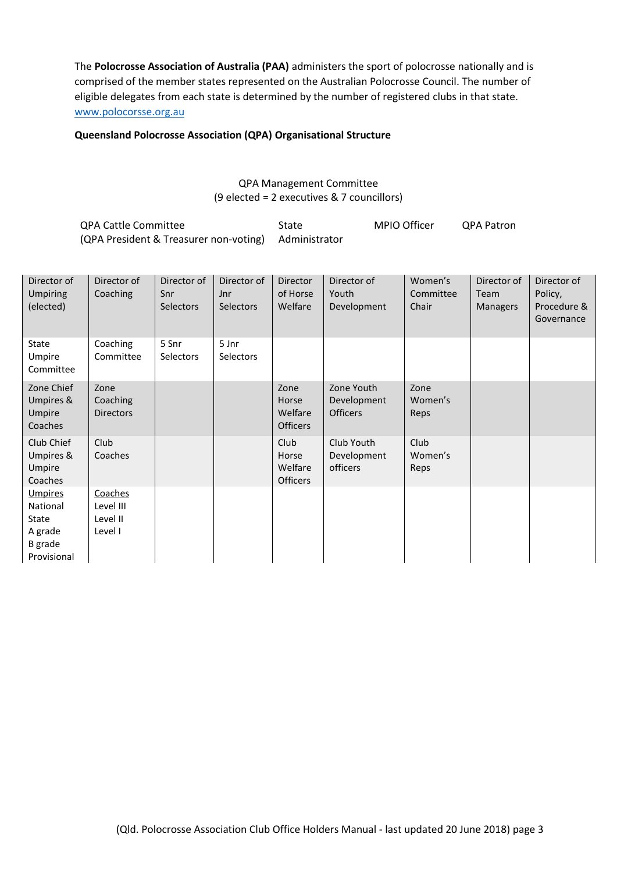The **Polocrosse Association of Australia (PAA)** administers the sport of polocrosse nationally and is comprised of the member states represented on the Australian Polocrosse Council. The number of eligible delegates from each state is determined by the number of registered clubs in that state. [www.polocorsse.org.au](http://www.polocorsse.org.au/)

# **Queensland Polocrosse Association (QPA) Organisational Structure**

# QPA Management Committee (9 elected = 2 executives & 7 councillors)

| QPA Cattle Committee                                 | State | MPIO Officer | <b>QPA Patron</b> |
|------------------------------------------------------|-------|--------------|-------------------|
| (QPA President & Treasurer non-voting) Administrator |       |              |                   |

| Director of<br>Umpiring<br>(elected)                                            | Director of<br>Coaching                     | Director of<br>Snr<br>Selectors | Director of<br>Jnr<br>Selectors | Director<br>of Horse<br>Welfare             | Director of<br>Youth<br>Development          | Women's<br>Committee<br>Chair | Director of<br>Team<br>Managers | Director of<br>Policy,<br>Procedure &<br>Governance |
|---------------------------------------------------------------------------------|---------------------------------------------|---------------------------------|---------------------------------|---------------------------------------------|----------------------------------------------|-------------------------------|---------------------------------|-----------------------------------------------------|
| State<br>Umpire<br>Committee                                                    | Coaching<br>Committee                       | 5 Snr<br>Selectors              | 5 Jnr<br>Selectors              |                                             |                                              |                               |                                 |                                                     |
| Zone Chief<br>Umpires &<br>Umpire<br>Coaches                                    | Zone<br>Coaching<br><b>Directors</b>        |                                 |                                 | Zone<br>Horse<br>Welfare<br><b>Officers</b> | Zone Youth<br>Development<br><b>Officers</b> | Zone<br>Women's<br>Reps       |                                 |                                                     |
| Club Chief<br>Umpires &<br>Umpire<br>Coaches                                    | Club<br>Coaches                             |                                 |                                 | Club<br>Horse<br>Welfare<br><b>Officers</b> | Club Youth<br>Development<br>officers        | Club<br>Women's<br>Reps       |                                 |                                                     |
| <u>Umpires</u><br>National<br>State<br>A grade<br><b>B</b> grade<br>Provisional | Coaches<br>Level III<br>Level II<br>Level I |                                 |                                 |                                             |                                              |                               |                                 |                                                     |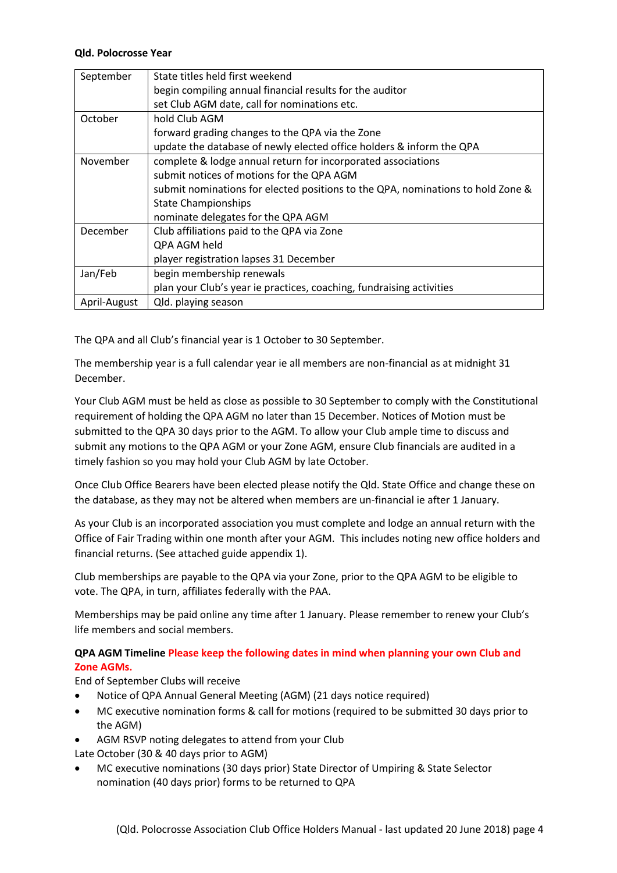# **Qld. Polocrosse Year**

| September    | State titles held first weekend                                                 |  |  |  |
|--------------|---------------------------------------------------------------------------------|--|--|--|
|              | begin compiling annual financial results for the auditor                        |  |  |  |
|              | set Club AGM date, call for nominations etc.                                    |  |  |  |
| October      | hold Club AGM                                                                   |  |  |  |
|              | forward grading changes to the QPA via the Zone                                 |  |  |  |
|              | update the database of newly elected office holders & inform the QPA            |  |  |  |
| November     | complete & lodge annual return for incorporated associations                    |  |  |  |
|              | submit notices of motions for the QPA AGM                                       |  |  |  |
|              | submit nominations for elected positions to the QPA, nominations to hold Zone & |  |  |  |
|              | <b>State Championships</b>                                                      |  |  |  |
|              | nominate delegates for the QPA AGM                                              |  |  |  |
| December     | Club affiliations paid to the QPA via Zone                                      |  |  |  |
|              | QPA AGM held                                                                    |  |  |  |
|              | player registration lapses 31 December                                          |  |  |  |
| Jan/Feb      | begin membership renewals                                                       |  |  |  |
|              | plan your Club's year ie practices, coaching, fundraising activities            |  |  |  |
| April-August | Qld. playing season                                                             |  |  |  |

The QPA and all Club's financial year is 1 October to 30 September.

The membership year is a full calendar year ie all members are non-financial as at midnight 31 December.

Your Club AGM must be held as close as possible to 30 September to comply with the Constitutional requirement of holding the QPA AGM no later than 15 December. Notices of Motion must be submitted to the QPA 30 days prior to the AGM. To allow your Club ample time to discuss and submit any motions to the QPA AGM or your Zone AGM, ensure Club financials are audited in a timely fashion so you may hold your Club AGM by late October.

Once Club Office Bearers have been elected please notify the Qld. State Office and change these on the database, as they may not be altered when members are un-financial ie after 1 January.

As your Club is an incorporated association you must complete and lodge an annual return with the Office of Fair Trading within one month after your AGM. This includes noting new office holders and financial returns. (See attached guide appendix 1).

Club memberships are payable to the QPA via your Zone, prior to the QPA AGM to be eligible to vote. The QPA, in turn, affiliates federally with the PAA.

Memberships may be paid online any time after 1 January. Please remember to renew your Club's life members and social members.

# **QPA AGM Timeline Please keep the following dates in mind when planning your own Club and Zone AGMs.**

End of September Clubs will receive

- Notice of QPA Annual General Meeting (AGM) (21 days notice required)
- MC executive nomination forms & call for motions (required to be submitted 30 days prior to the AGM)
- AGM RSVP noting delegates to attend from your Club

Late October (30 & 40 days prior to AGM)

 MC executive nominations (30 days prior) State Director of Umpiring & State Selector nomination (40 days prior) forms to be returned to QPA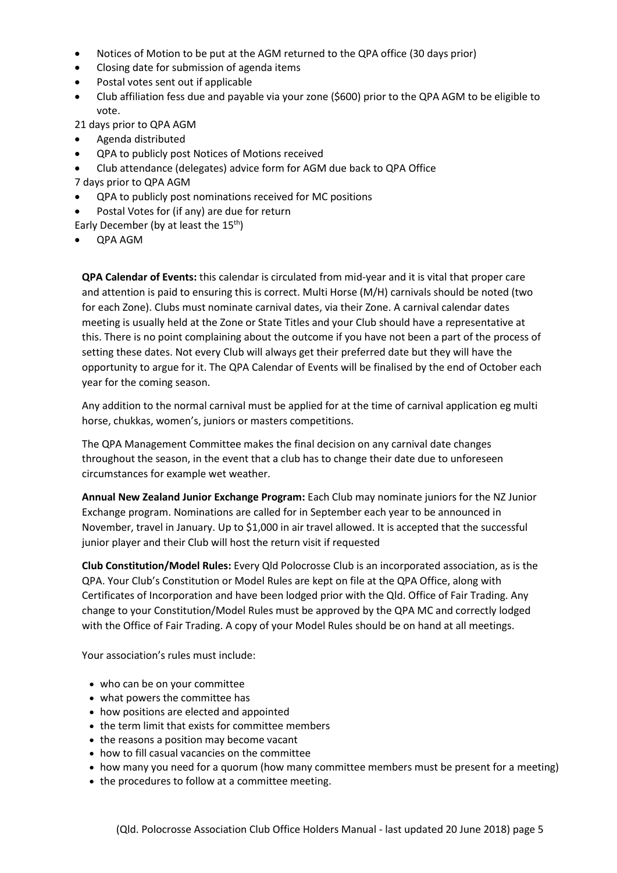- Notices of Motion to be put at the AGM returned to the QPA office (30 days prior)
- Closing date for submission of agenda items
- Postal votes sent out if applicable
- Club affiliation fess due and payable via your zone (\$600) prior to the QPA AGM to be eligible to vote.

21 days prior to QPA AGM

- Agenda distributed
- QPA to publicly post Notices of Motions received
- Club attendance (delegates) advice form for AGM due back to QPA Office
- 7 days prior to QPA AGM
- QPA to publicly post nominations received for MC positions
- Postal Votes for (if any) are due for return

Early December (by at least the  $15<sup>th</sup>$ )

QPA AGM

**QPA Calendar of Events:** this calendar is circulated from mid-year and it is vital that proper care and attention is paid to ensuring this is correct. Multi Horse (M/H) carnivals should be noted (two for each Zone). Clubs must nominate carnival dates, via their Zone. A carnival calendar dates meeting is usually held at the Zone or State Titles and your Club should have a representative at this. There is no point complaining about the outcome if you have not been a part of the process of setting these dates. Not every Club will always get their preferred date but they will have the opportunity to argue for it. The QPA Calendar of Events will be finalised by the end of October each year for the coming season.

Any addition to the normal carnival must be applied for at the time of carnival application eg multi horse, chukkas, women's, juniors or masters competitions.

The QPA Management Committee makes the final decision on any carnival date changes throughout the season, in the event that a club has to change their date due to unforeseen circumstances for example wet weather.

**Annual New Zealand Junior Exchange Program:** Each Club may nominate juniors for the NZ Junior Exchange program. Nominations are called for in September each year to be announced in November, travel in January. Up to \$1,000 in air travel allowed. It is accepted that the successful junior player and their Club will host the return visit if requested

**Club Constitution/Model Rules:** Every Qld Polocrosse Club is an incorporated association, as is the QPA. Your Club's Constitution or Model Rules are kept on file at the QPA Office, along with Certificates of Incorporation and have been lodged prior with the Qld. Office of Fair Trading. Any change to your Constitution/Model Rules must be approved by the QPA MC and correctly lodged with the Office of Fair Trading. A copy of your Model Rules should be on hand at all meetings.

Your association's rules must include:

- who can be on your committee
- what powers the committee has
- how positions are elected and appointed
- the term limit that exists for committee members
- the reasons a position may become vacant
- how to fill casual vacancies on the committee
- how many you need for a quorum (how many committee members must be present for a meeting)
- the procedures to follow at a committee meeting.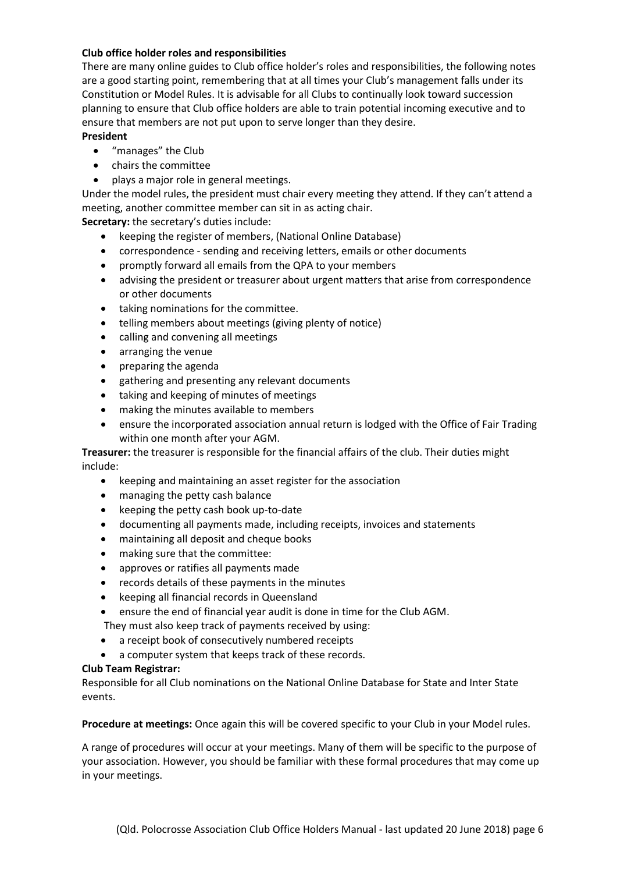# **Club office holder roles and responsibilities**

There are many online guides to Club office holder's roles and responsibilities, the following notes are a good starting point, remembering that at all times your Club's management falls under its Constitution or Model Rules. It is advisable for all Clubs to continually look toward succession planning to ensure that Club office holders are able to train potential incoming executive and to ensure that members are not put upon to serve longer than they desire.

# **President**

- "manages" the Club
- chairs the committee
- plays a major role in general meetings.

Under the model rules, the president must chair every meeting they attend. If they can't attend a meeting, another committee member can sit in as acting chair.

**Secretary:** the secretary's duties include:

- keeping the register of members, (National Online Database)
- correspondence sending and receiving letters, emails or other documents
- promptly forward all emails from the QPA to your members
- advising the president or treasurer about urgent matters that arise from correspondence or other documents
- taking nominations for the committee.
- telling members about meetings (giving plenty of notice)
- calling and convening all meetings
- arranging the venue
- preparing the agenda
- gathering and presenting any relevant documents
- taking and keeping of minutes of meetings
- making the minutes available to members
- ensure the incorporated association annual return is lodged with the Office of Fair Trading within one month after your AGM.

**Treasurer:** the treasurer is responsible for the financial affairs of the club. Their duties might include:

- keeping and maintaining an asset register for the association
- managing the petty cash balance
- keeping the petty cash book up-to-date
- documenting all payments made, including receipts, invoices and statements
- maintaining all deposit and cheque books
- making sure that the committee:
- approves or ratifies all payments made
- records details of these payments in the minutes
- keeping all financial records in Queensland
- ensure the end of financial year audit is done in time for the Club AGM.
- They must also keep track of payments received by using:
- a receipt book of consecutively numbered receipts
- a computer system that keeps track of these records.

# **Club Team Registrar:**

Responsible for all Club nominations on the National Online Database for State and Inter State events.

**Procedure at meetings:** Once again this will be covered specific to your Club in your Model rules.

A range of procedures will occur at your meetings. Many of them will be specific to the purpose of your association. However, you should be familiar with these formal procedures that may come up in your meetings.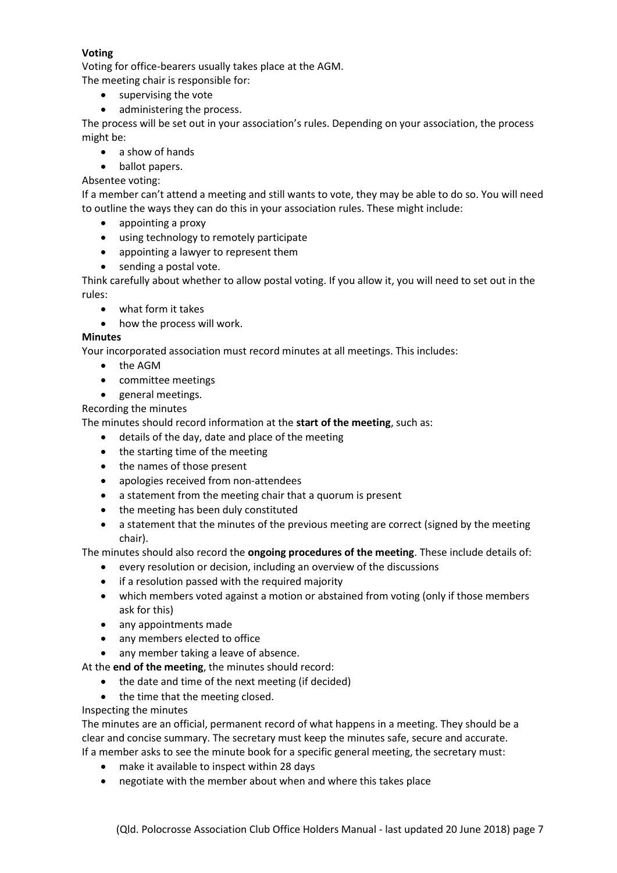# **Voting**

Voting for office-bearers usually takes place at the AGM.

The meeting chair is responsible for:

- supervising the vote
- administering the process.

The process will be set out in your association's rules. Depending on your association, the process might be:

- a show of hands
- ballot papers.

# Absentee voting:

If a member can't attend a meeting and still wants to vote, they may be able to do so. You will need to outline the ways they can do this in your association rules. These might include:

- appointing a proxy
- using technology to remotely participate
- appointing a lawyer to represent them
- sending a postal vote.

Think carefully about whether to allow postal voting. If you allow it, you will need to set out in the rules:

- what form it takes
- how the process will work.

# **Minutes**

Your incorporated association must record minutes at all meetings. This includes:

- the AGM
- committee meetings
- general meetings.

Recording the minutes

The minutes should record information at the **start of the meeting**, such as:

- details of the day, date and place of the meeting
- the starting time of the meeting
- the names of those present
- apologies received from non-attendees
- a statement from the meeting chair that a quorum is present
- the meeting has been duly constituted
- a statement that the minutes of the previous meeting are correct (signed by the meeting chair).

The minutes should also record the **ongoing procedures of the meeting**. These include details of:

- every resolution or decision, including an overview of the discussions
- if a resolution passed with the required majority
- which members voted against a motion or abstained from voting (only if those members ask for this)
- any appointments made
- any members elected to office
- any member taking a leave of absence.
- At the **end of the meeting**, the minutes should record:
	- the date and time of the next meeting (if decided)
	- the time that the meeting closed.

# Inspecting the minutes

The minutes are an official, permanent record of what happens in a meeting. They should be a clear and concise summary. The secretary must keep the minutes safe, secure and accurate. If a member asks to see the minute book for a specific general meeting, the secretary must:

- make it available to inspect within 28 days
- negotiate with the member about when and where this takes place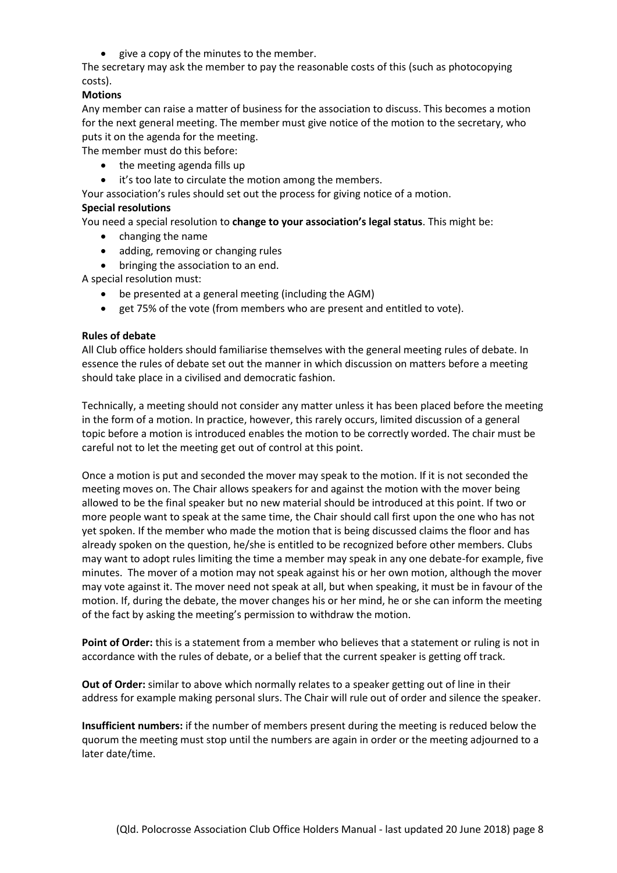• give a copy of the minutes to the member.

The secretary may ask the member to pay the reasonable costs of this (such as photocopying costs).

#### **Motions**

Any member can raise a matter of business for the association to discuss. This becomes a motion for the next general meeting. The member must give notice of the motion to the secretary, who puts it on the agenda for the meeting.

The member must do this before:

- the meeting agenda fills up
- it's too late to circulate the motion among the members.

Your association's rules should set out the process for giving notice of a motion.

#### **Special resolutions**

You need a special resolution to **change to your association's legal status**. This might be:

- changing the name
- adding, removing or changing rules
- bringing the association to an end.

A special resolution must:

- be presented at a general meeting (including the AGM)
- get 75% of the vote (from members who are present and entitled to vote).

#### **Rules of debate**

All Club office holders should familiarise themselves with the general meeting rules of debate. In essence the rules of debate set out the manner in which discussion on matters before a meeting should take place in a civilised and democratic fashion.

Technically, a meeting should not consider any matter unless it has been placed before the meeting in the form of a motion. In practice, however, this rarely occurs, limited discussion of a general topic before a motion is introduced enables the motion to be correctly worded. The chair must be careful not to let the meeting get out of control at this point.

Once a motion is put and seconded the mover may speak to the motion. If it is not seconded the meeting moves on. The Chair allows speakers for and against the motion with the mover being allowed to be the final speaker but no new material should be introduced at this point. If two or more people want to speak at the same time, the Chair should call first upon the one who has not yet spoken. If the member who made the motion that is being discussed claims the floor and has already spoken on the question, he/she is entitled to be recognized before other members. Clubs may want to adopt rules limiting the time a member may speak in any one debate-for example, five minutes. The mover of a motion may not speak against his or her own motion, although the mover may vote against it. The mover need not speak at all, but when speaking, it must be in favour of the motion. If, during the debate, the mover changes his or her mind, he or she can inform the meeting of the fact by asking the meeting's permission to withdraw the motion.

**Point of Order:** this is a statement from a member who believes that a statement or ruling is not in accordance with the rules of debate, or a belief that the current speaker is getting off track.

**Out of Order:** similar to above which normally relates to a speaker getting out of line in their address for example making personal slurs. The Chair will rule out of order and silence the speaker.

**Insufficient numbers:** if the number of members present during the meeting is reduced below the quorum the meeting must stop until the numbers are again in order or the meeting adjourned to a later date/time.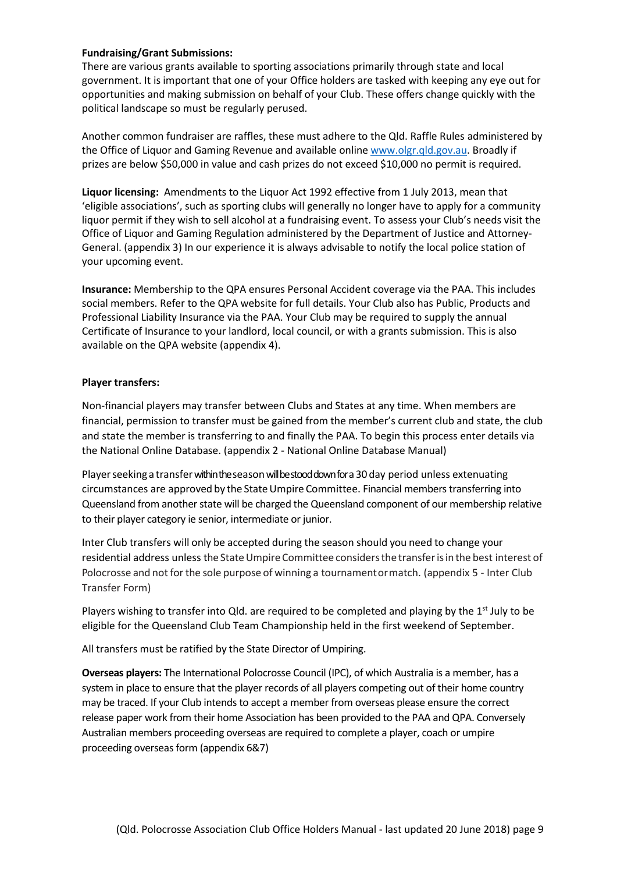#### **Fundraising/Grant Submissions:**

There are various grants available to sporting associations primarily through state and local government. It is important that one of your Office holders are tasked with keeping any eye out for opportunities and making submission on behalf of your Club. These offers change quickly with the political landscape so must be regularly perused.

Another common fundraiser are raffles, these must adhere to the Qld. Raffle Rules administered by the Office of Liquor and Gaming Revenue and available online [www.olgr.qld.gov.au.](http://www.olgr.qld.gov.au/) Broadly if prizes are below \$50,000 in value and cash prizes do not exceed \$10,000 no permit is required.

**Liquor licensing:** Amendments to the Liquor Act 1992 effective from 1 July 2013, mean that 'eligible associations', such as sporting clubs will generally no longer have to apply for a community liquor permit if they wish to sell alcohol at a fundraising event. To assess your Club's needs visit the Office of Liquor and Gaming Regulation administered by the Department of Justice and Attorney-General. (appendix 3) In our experience it is always advisable to notify the local police station of your upcoming event.

**Insurance:** Membership to the QPA ensures Personal Accident coverage via the PAA. This includes social members. Refer to the QPA website for full details. Your Club also has Public, Products and Professional Liability Insurance via the PAA. Your Club may be required to supply the annual Certificate of Insurance to your landlord, local council, or with a grants submission. This is also available on the QPA website (appendix 4).

#### **Player transfers:**

Non-financial players may transfer between Clubs and States at any time. When members are financial, permission to transfer must be gained from the member's current club and state, the club and state the member is transferring to and finally the PAA. To begin this process enter details via the National Online Database. (appendix 2 - National Online Database Manual)

Player seeking a transfer within the season will bestood down for a 30 day period unless extenuating circumstances are approved by the State Umpire Committee. Financial members transferring into Queensland from another state will be charged the Queensland component of our membership relative to their player category ie senior, intermediate or junior.

Inter Club transfers will only be accepted during the season should you need to change your residential address unless the State Umpire Committee considers the transfer is in the best interest of Polocrosse and not for the sole purpose of winning a tournamentor match. (appendix 5 - Inter Club Transfer Form)

Players wishing to transfer into Qld. are required to be completed and playing by the  $1<sup>st</sup>$  July to be eligible for the Queensland Club Team Championship held in the first weekend of September.

All transfers must be ratified by the State Director of Umpiring.

**Overseas players:** The International Polocrosse Council (IPC), of which Australia is a member, has a system in place to ensure that the player records of all players competing out of their home country may be traced. If your Club intends to accept a member from overseas please ensure the correct release paper work from their home Association has been provided to the PAA and QPA. Conversely Australian members proceeding overseas are required to complete a player, coach or umpire proceeding overseas form (appendix 6&7)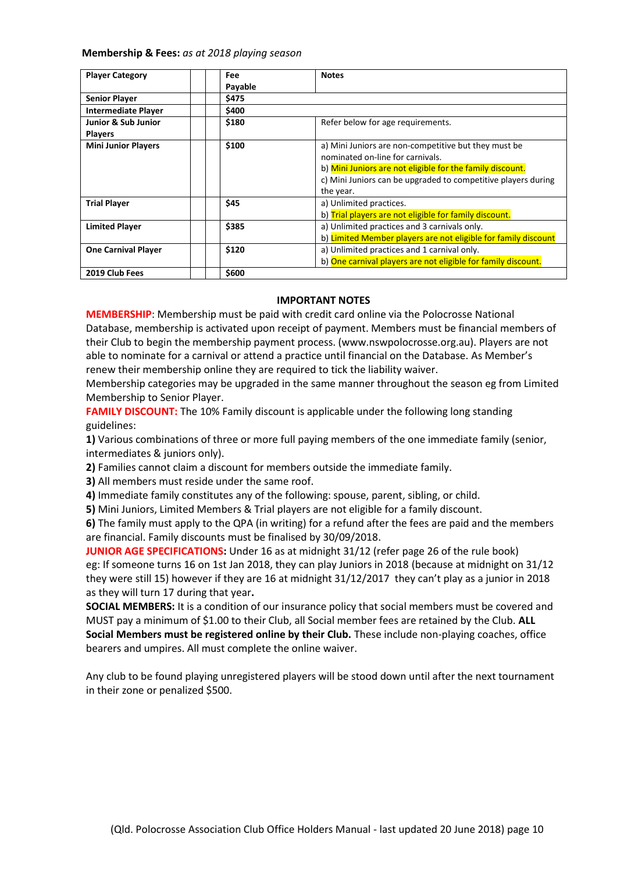#### **Membership & Fees:** *as at 2018 playing season*

| <b>Player Category</b>                | Fee     | <b>Notes</b>                                                                                                                            |  |  |
|---------------------------------------|---------|-----------------------------------------------------------------------------------------------------------------------------------------|--|--|
|                                       | Payable |                                                                                                                                         |  |  |
| <b>Senior Player</b>                  | \$475   |                                                                                                                                         |  |  |
| <b>Intermediate Player</b>            | \$400   |                                                                                                                                         |  |  |
| Junior & Sub Junior<br><b>Players</b> | \$180   | Refer below for age requirements.                                                                                                       |  |  |
| <b>Mini Junior Players</b>            | \$100   | a) Mini Juniors are non-competitive but they must be<br>nominated on-line for carnivals.                                                |  |  |
|                                       |         | b) Mini Juniors are not eligible for the family discount.<br>c) Mini Juniors can be upgraded to competitive players during<br>the year. |  |  |
| <b>Trial Player</b>                   | \$45    | a) Unlimited practices.<br>b) Trial players are not eligible for family discount.                                                       |  |  |
| <b>Limited Player</b>                 | \$385   | a) Unlimited practices and 3 carnivals only.<br>b) Limited Member players are not eligible for family discount                          |  |  |
| <b>One Carnival Player</b>            | \$120   | a) Unlimited practices and 1 carnival only.<br>b) One carnival players are not eligible for family discount.                            |  |  |
| 2019 Club Fees                        | \$600   |                                                                                                                                         |  |  |

#### **IMPORTANT NOTES**

**MEMBERSHIP**: Membership must be paid with credit card online via the Polocrosse National Database, membership is activated upon receipt of payment. Members must be financial members of their Club to begin the membership payment process. (www.nswpolocrosse.org.au). Players are not able to nominate for a carnival or attend a practice until financial on the Database. As Member's renew their membership online they are required to tick the liability waiver.

Membership categories may be upgraded in the same manner throughout the season eg from Limited Membership to Senior Player.

**FAMILY DISCOUNT:** The 10% Family discount is applicable under the following long standing guidelines:

**1)** Various combinations of three or more full paying members of the one immediate family (senior, intermediates & juniors only).

**2)** Families cannot claim a discount for members outside the immediate family.

**3)** All members must reside under the same roof.

**4)** Immediate family constitutes any of the following: spouse, parent, sibling, or child.

**5)** Mini Juniors, Limited Members & Trial players are not eligible for a family discount.

**6)** The family must apply to the QPA (in writing) for a refund after the fees are paid and the members are financial. Family discounts must be finalised by 30/09/2018.

**JUNIOR AGE SPECIFICATIONS:** Under 16 as at midnight 31/12 (refer page 26 of the rule book) eg: If someone turns 16 on 1st Jan 2018, they can play Juniors in 2018 (because at midnight on 31/12 they were still 15) however if they are 16 at midnight 31/12/2017 they can't play as a junior in 2018 as they will turn 17 during that year**.** 

**SOCIAL MEMBERS:** It is a condition of our insurance policy that social members must be covered and MUST pay a minimum of \$1.00 to their Club, all Social member fees are retained by the Club. **ALL Social Members must be registered online by their Club.** These include non-playing coaches, office bearers and umpires. All must complete the online waiver.

Any club to be found playing unregistered players will be stood down until after the next tournament in their zone or penalized \$500.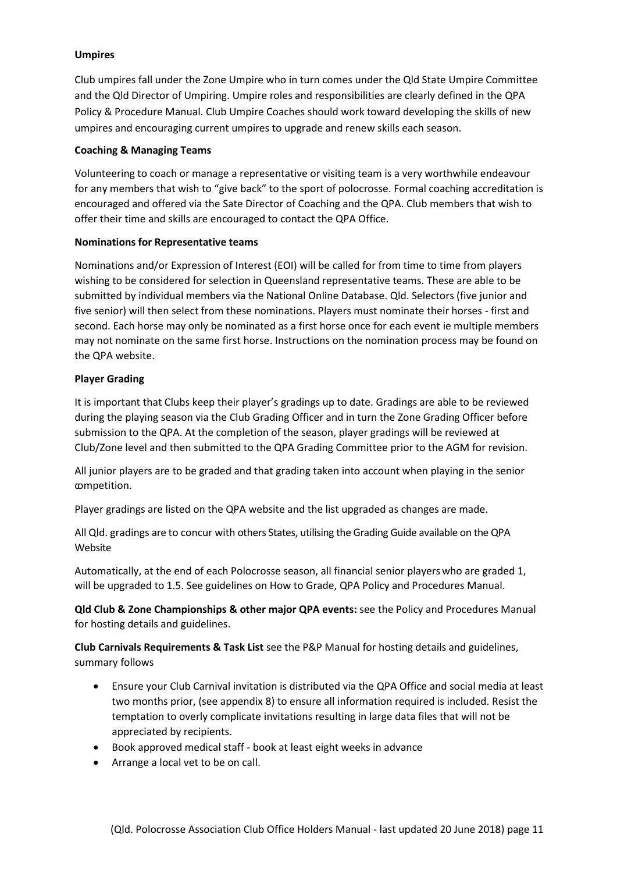# **Umpires**

Club umpires fall under the Zone Umpire who in turn comes under the Qld State Umpire Committee and the Qld Director of Umpiring. Umpire roles and responsibilities are clearly defined in the QPA Policy & Procedure Manual. Club Umpire Coaches should work toward developing the skills of new umpires and encouraging current umpires to upgrade and renew skills each season.

# **Coaching & Managing Teams**

Volunteering to coach or manage a representative or visiting team is a very worthwhile endeavour for any members that wish to "give back" to the sport of polocrosse. Formal coaching accreditation is encouraged and offered via the Sate Director of Coaching and the QPA. Club members that wish to offer their time and skills are encouraged to contact the QPA Office.

# **Nominations for Representative teams**

Nominations and/or Expression of Interest (EOI) will be called for from time to time from players wishing to be considered for selection in Queensland representative teams. These are able to be submitted by individual members via the National Online Database. Qld. Selectors (five junior and five senior) will then select from these nominations. Players must nominate their horses - first and second. Each horse may only be nominated as a first horse once for each event ie multiple members may not nominate on the same first horse. Instructions on the nomination process may be found on the QPA website.

# **Player Grading**

It is important that Clubs keep their player's gradings up to date. Gradings are able to be reviewed during the playing season via the Club Grading Officer and in turn the Zone Grading Officer before submission to the QPA. At the completion of the season, player gradings will be reviewed at Club/Zone level and then submitted to the QPA Grading Committee prior to the AGM for revision.

All junior players are to be graded and that grading taken into account when playing in the senior competition.

Player gradings are listed on the QPA website and the list upgraded as changes are made.

All Qld. gradings are to concur with others States, utilising the Grading Guide available on the QPA Website

Automatically, at the end of each Polocrosse season, all financial senior playerswho are graded 1, will be upgraded to 1.5. See guidelines on How to Grade, QPA Policy and Procedures Manual.

**Qld Club & Zone Championships & other major QPA events:** see the Policy and Procedures Manual for hosting details and guidelines.

**Club Carnivals Requirements & Task List** see the P&P Manual for hosting details and guidelines, summary follows

- Ensure your Club Carnival invitation is distributed via the QPA Office and social media at least two months prior, (see appendix 8) to ensure all information required is included. Resist the temptation to overly complicate invitations resulting in large data files that will not be appreciated by recipients.
- Book approved medical staff book at least eight weeks in advance
- Arrange a local vet to be on call.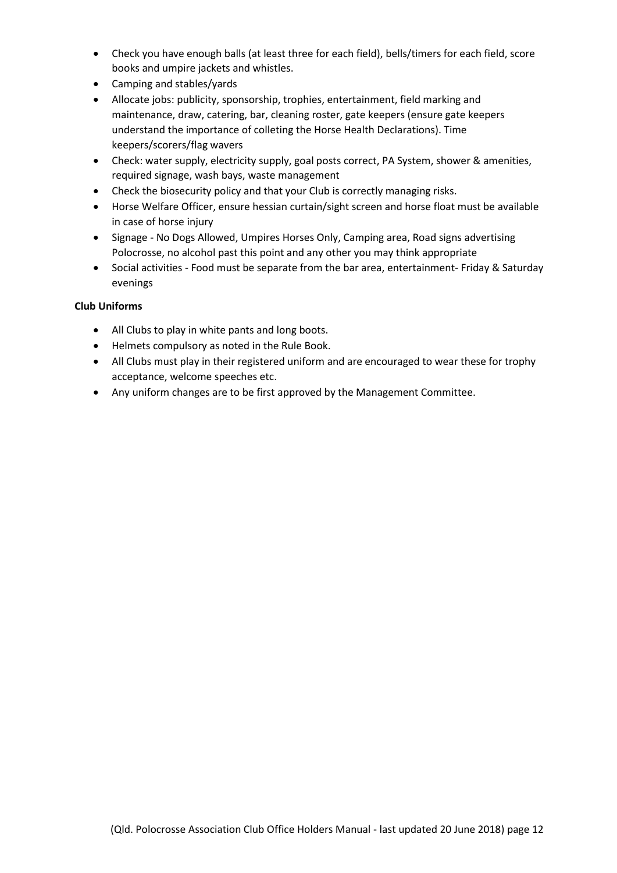- Check you have enough balls (at least three for each field), bells/timers for each field, score books and umpire jackets and whistles.
- Camping and stables/yards
- Allocate jobs: publicity, sponsorship, trophies, entertainment, field marking and maintenance, draw, catering, bar, cleaning roster, gate keepers (ensure gate keepers understand the importance of colleting the Horse Health Declarations). Time keepers/scorers/flag wavers
- Check: water supply, electricity supply, goal posts correct, PA System, shower & amenities, required signage, wash bays, waste management
- Check the biosecurity policy and that your Club is correctly managing risks.
- Horse Welfare Officer, ensure hessian curtain/sight screen and horse float must be available in case of horse injury
- Signage No Dogs Allowed, Umpires Horses Only, Camping area, Road signs advertising Polocrosse, no alcohol past this point and any other you may think appropriate
- Social activities Food must be separate from the bar area, entertainment- Friday & Saturday evenings

# **Club Uniforms**

- All Clubs to play in white pants and long boots.
- Helmets compulsory as noted in the Rule Book.
- All Clubs must play in their registered uniform and are encouraged to wear these for trophy acceptance, welcome speeches etc.
- Any uniform changes are to be first approved by the Management Committee.